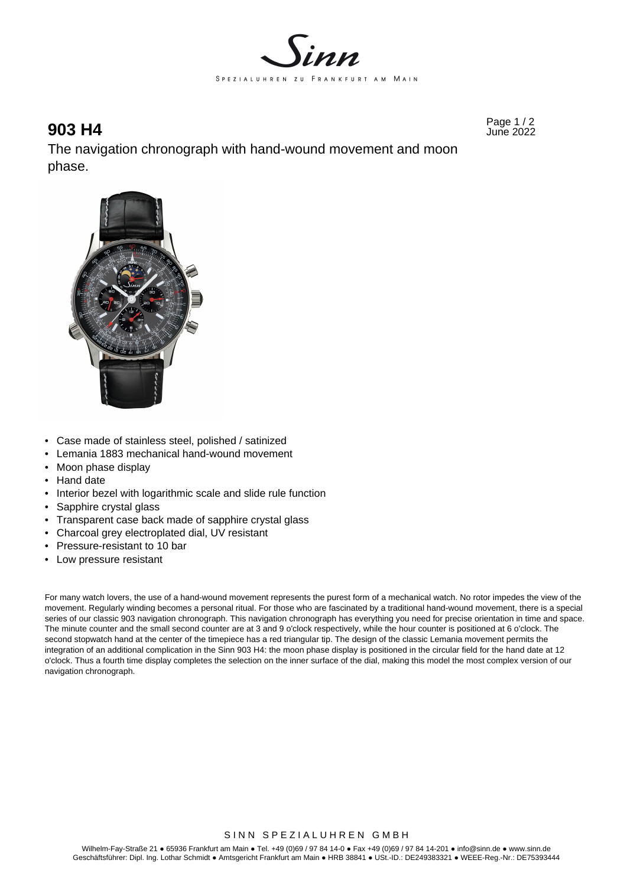

Page 1 / 2 **903 H4** June 2022

The navigation chronograph with hand-wound movement and moon phase.



- Case made of stainless steel, polished / satinized
- Lemania 1883 mechanical hand-wound movement
- Moon phase display
- Hand date
- Interior bezel with logarithmic scale and slide rule function
- Sapphire crystal glass
- Transparent case back made of sapphire crystal glass
- Charcoal grey electroplated dial, UV resistant
- Pressure-resistant to 10 bar
- Low pressure resistant

For many watch lovers, the use of a hand-wound movement represents the purest form of a mechanical watch. No rotor impedes the view of the movement. Regularly winding becomes a personal ritual. For those who are fascinated by a traditional hand-wound movement, there is a special series of our classic 903 navigation chronograph. This navigation chronograph has everything you need for precise orientation in time and space. The minute counter and the small second counter are at 3 and 9 o'clock respectively, while the hour counter is positioned at 6 o'clock. The second stopwatch hand at the center of the timepiece has a red triangular tip. The design of the classic Lemania movement permits the integration of an additional complication in the Sinn 903 H4: the moon phase display is positioned in the circular field for the hand date at 12 o'clock. Thus a fourth time display completes the selection on the inner surface of the dial, making this model the most complex version of our navigation chronograph.